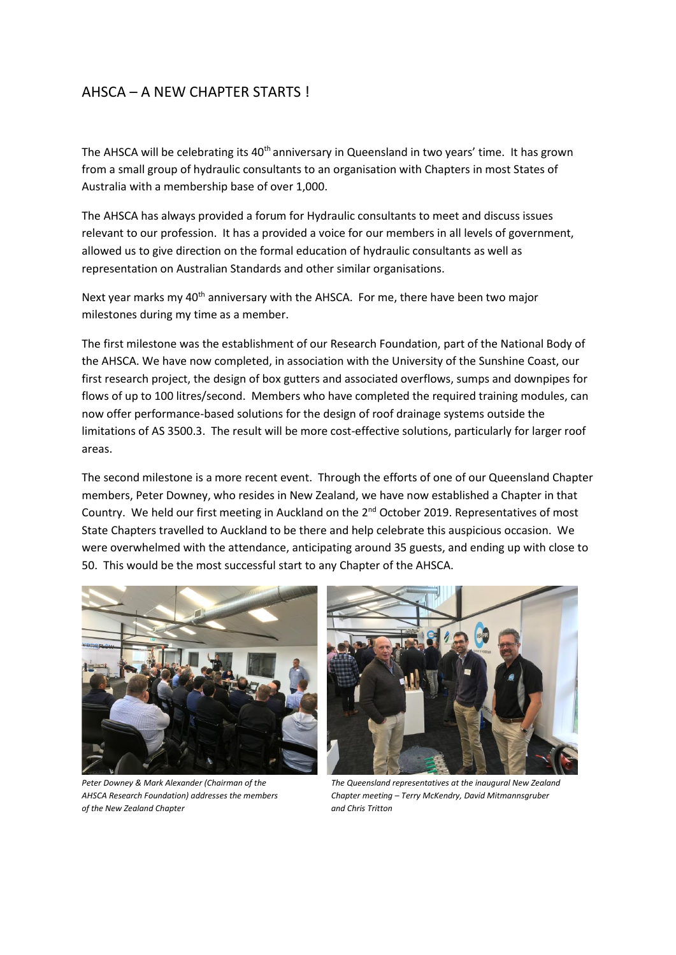## AHSCA – A NEW CHAPTER STARTS !

The AHSCA will be celebrating its 40<sup>th</sup> anniversary in Queensland in two years' time. It has grown from a small group of hydraulic consultants to an organisation with Chapters in most States of Australia with a membership base of over 1,000.

The AHSCA has always provided a forum for Hydraulic consultants to meet and discuss issues relevant to our profession. It has a provided a voice for our members in all levels of government, allowed us to give direction on the formal education of hydraulic consultants as well as representation on Australian Standards and other similar organisations.

Next year marks my 40<sup>th</sup> anniversary with the AHSCA. For me, there have been two major milestones during my time as a member.

The first milestone was the establishment of our Research Foundation, part of the National Body of the AHSCA. We have now completed, in association with the University of the Sunshine Coast, our first research project, the design of box gutters and associated overflows, sumps and downpipes for flows of up to 100 litres/second. Members who have completed the required training modules, can now offer performance-based solutions for the design of roof drainage systems outside the limitations of AS 3500.3. The result will be more cost-effective solutions, particularly for larger roof areas.

The second milestone is a more recent event. Through the efforts of one of our Queensland Chapter members, Peter Downey, who resides in New Zealand, we have now established a Chapter in that Country. We held our first meeting in Auckland on the 2<sup>nd</sup> October 2019. Representatives of most State Chapters travelled to Auckland to be there and help celebrate this auspicious occasion. We were overwhelmed with the attendance, anticipating around 35 guests, and ending up with close to 50. This would be the most successful start to any Chapter of the AHSCA.



*Peter Downey & Mark Alexander (Chairman of the The Queensland representatives at the inaugural New Zealand of the New Zealand Chapter and Chris Tritton*



*AHSCA Research Foundation) addresses the members Chapter meeting – Terry McKendry, David Mitmannsgruber*